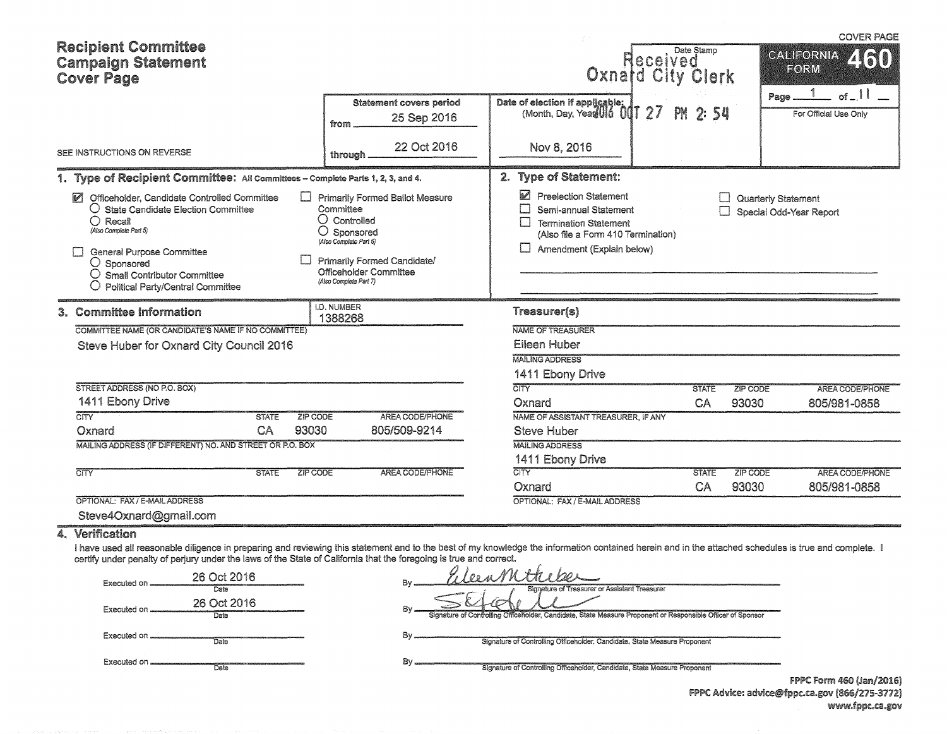| <b>Recipient Committee</b><br><b>Campaign Statement</b><br><b>Cover Page</b>                                                                                                                                                                                                                                                                   |                                                                                                           |                                                                                                                          | Date Stamp<br>leceived<br>Oxnatd City Clerk |                                                     | <b>COVER PAGE</b><br><b>CALIFORNIA</b><br>EORM<br>1 |
|------------------------------------------------------------------------------------------------------------------------------------------------------------------------------------------------------------------------------------------------------------------------------------------------------------------------------------------------|-----------------------------------------------------------------------------------------------------------|--------------------------------------------------------------------------------------------------------------------------|---------------------------------------------|-----------------------------------------------------|-----------------------------------------------------|
|                                                                                                                                                                                                                                                                                                                                                | Statement covers period<br>25 Sep 2016<br>from                                                            | Date of election if applicable:<br>(Month, Day, Year 016 001 27                                                          | <b>PM 2:54</b>                              | Page.                                               | of $\lceil$<br>For Official Use Only                |
| SEE INSTRUCTIONS ON REVERSE                                                                                                                                                                                                                                                                                                                    | 22 Oct 2016<br>through                                                                                    | Nov 8, 2016                                                                                                              |                                             |                                                     |                                                     |
| 1. Type of Recipient Committee: All Committees - Complete Parts 1, 2, 3, and 4.<br>M<br>Officeholder, Candidate Controlled Committee<br>$\mathbf{1}$<br>$\bigcirc$ State Candidate Election Committee<br>$O$ Recall<br>(Also Complete Part 5)                                                                                                  | <b>Primarily Formed Ballot Measure</b><br>Committee<br>$\cup$ Controlled<br>$O$ Sponsored                 | 2. Type of Statement:<br>M<br><b>Preelection Statement</b><br>Semi-annual Statement<br>П<br><b>Termination Statement</b> |                                             | Quarterly Statement<br>П<br>Special Odd-Year Report |                                                     |
| <b>General Purpose Committee</b><br>$\cup$ Sponsored<br>O Small Contributor Committee<br>$\bigcirc$ Political Party/Central Committee                                                                                                                                                                                                          | (Also Complete Part 6)<br>Primarily Formed Candidate/<br>Officeholder Committee<br>(Also Complete Part 7) | (Also file a Form 410 Termination)<br>Amendment (Explain below)                                                          |                                             |                                                     |                                                     |
| 3. Committee Information                                                                                                                                                                                                                                                                                                                       | I.D. NUMBER<br>1388268                                                                                    | Treasurer(s)                                                                                                             |                                             |                                                     |                                                     |
| COMMITTEE NAME (OR CANDIDATE'S NAME IF NO COMMITTEE)                                                                                                                                                                                                                                                                                           |                                                                                                           | NAME OF TREASURER                                                                                                        |                                             |                                                     |                                                     |
| Steve Huber for Oxnard City Council 2016                                                                                                                                                                                                                                                                                                       |                                                                                                           | Eileen Huber<br><b>MAILING ADDRESS</b>                                                                                   |                                             |                                                     |                                                     |
|                                                                                                                                                                                                                                                                                                                                                |                                                                                                           | 1411 Ebony Drive                                                                                                         |                                             |                                                     |                                                     |
| STREET ADDRESS (NO P.O. BOX)                                                                                                                                                                                                                                                                                                                   |                                                                                                           | $\overline{\text{CITY}}$                                                                                                 | <b>STATE</b>                                | ZIP CODE                                            | <b>AREA CODE/PHONE</b>                              |
| 1411 Ebony Drive                                                                                                                                                                                                                                                                                                                               |                                                                                                           | Oxnard                                                                                                                   | CA                                          | 93030                                               | 805/981-0858                                        |
| $\overline{\text{CITY}}$<br>ZIP CODE<br><b>STATE</b>                                                                                                                                                                                                                                                                                           | AREA CODE/PHONE                                                                                           | NAME OF ASSISTANT TREASURER, IF ANY                                                                                      |                                             |                                                     |                                                     |
| 93030<br>CA<br>Oxnard                                                                                                                                                                                                                                                                                                                          | 805/509-9214                                                                                              | <b>Steve Huber</b>                                                                                                       |                                             |                                                     |                                                     |
| MAILING ADDRESS (IF DIFFERENT) NO. AND STREET OR P.O. BOX                                                                                                                                                                                                                                                                                      |                                                                                                           | <b>MAILING ADDRESS</b>                                                                                                   |                                             |                                                     |                                                     |
|                                                                                                                                                                                                                                                                                                                                                |                                                                                                           | 1411 Ebony Drive                                                                                                         |                                             |                                                     |                                                     |
| ZIP CODE<br>$\overline{\text{CITY}}$<br><b>STATE</b>                                                                                                                                                                                                                                                                                           | AREA CODE/PHONE                                                                                           | CITY                                                                                                                     | <b>STATE</b>                                | ZIP CODE                                            | AREA CODE/PHONE                                     |
|                                                                                                                                                                                                                                                                                                                                                |                                                                                                           | Oxnard                                                                                                                   | CA                                          | 93030                                               | 805/981-0858                                        |
| OPTIONAL: FAX / E-MAIL ADDRESS                                                                                                                                                                                                                                                                                                                 |                                                                                                           | OPTIONAL: FAX / E-MAIL ADDRESS                                                                                           |                                             |                                                     |                                                     |
| Steve4Oxnard@gmail.com                                                                                                                                                                                                                                                                                                                         |                                                                                                           |                                                                                                                          |                                             |                                                     |                                                     |
| 4. Verification<br>I have used all reasonable diligence in preparing and reviewing this statement and to the best of my knowledge the information contained herein and in the attached schedules is true and complete. I<br>certify under penalty of perjury under the laws of the State of California that the foregoing is true and correct. |                                                                                                           |                                                                                                                          |                                             |                                                     |                                                     |
| 26 Oct 2016<br>Executed on<br>Date                                                                                                                                                                                                                                                                                                             |                                                                                                           | deenMithebe<br>Signature of Treasurer or Assistant Treasurer                                                             |                                             |                                                     |                                                     |
| 26 Oct 2016<br>Executed on<br>Date                                                                                                                                                                                                                                                                                                             |                                                                                                           | Signature of Controlling Officeholder, Candidate, State Measure Proponent or Responsible Officer of Sponsor              |                                             |                                                     |                                                     |

 $By -$ 

 $By$ 

Executed oil Date

Date

Executed on  $\equiv$ 

Signature of Controlling Officeholder, Candidate, State Measure Proponent

Signature of Controlling Officeholder, Candidate, State Measure Proponent

FPPC Form 460 (Jan/2016) FPPC Advice: advice@fppc.ca.gov (866/275-3772) www.fppc.ca.gov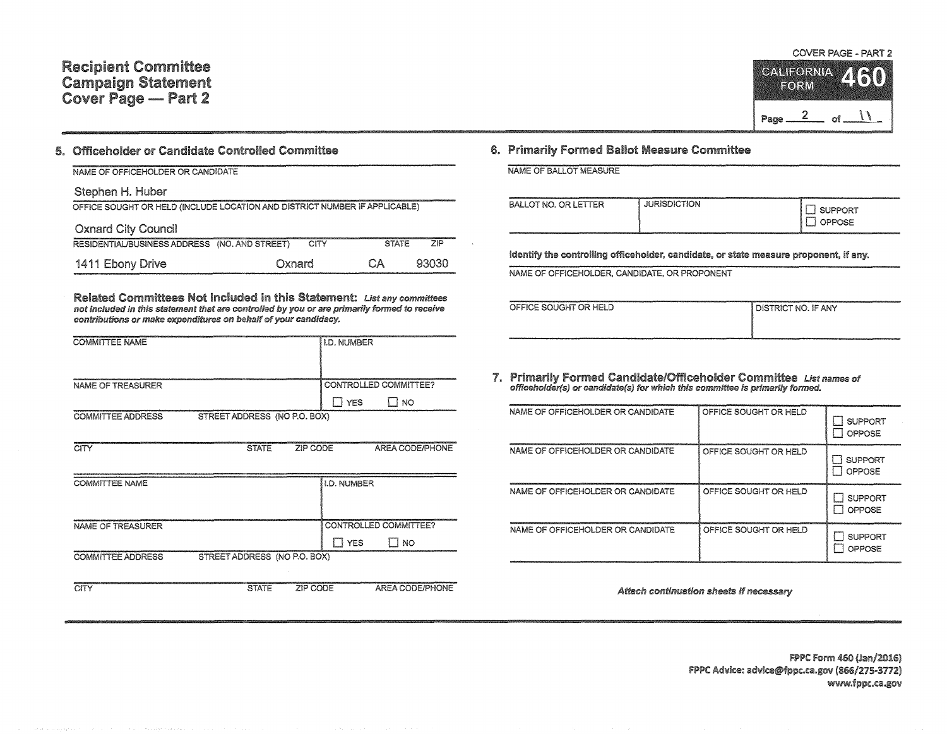# **Recipient Committee Campaign Statement** Cover Page - Part 2

## 5. Officeholder or Candidate Controlled Committee

| NAME OF OFFICEHOLDER OR CANDIDATE                                          |        |              |            |
|----------------------------------------------------------------------------|--------|--------------|------------|
| Stephen H. Huber                                                           |        |              |            |
| OFFICE SOUGHT OR HELD (INCLUDE LOCATION AND DISTRICT NUMBER IF APPLICABLE) |        |              |            |
| <b>Oxnard City Council</b>                                                 |        |              |            |
| RESIDENTIAL/BUSINESS ADDRESS (NO. AND STREET)                              | CITY   | <b>STATE</b> | <b>71P</b> |
| 1411 Ebony Drive                                                           | Oxnard | CА           | 93030      |

Related Committees Not Included in this Statement: List any committees not included in this statement that are controlled by you or are primarily formed to receive contributions or make expenditures on behalf of your candidacy.

| <b>COMMITTEE NAME</b>    |                              |          | <b>I.D. NUMBER</b> |                              |
|--------------------------|------------------------------|----------|--------------------|------------------------------|
|                          |                              |          |                    |                              |
|                          |                              |          |                    |                              |
|                          |                              |          |                    |                              |
| NAME OF TREASURER        |                              |          |                    | CONTROLLED COMMITTEE?        |
|                          |                              |          |                    |                              |
|                          |                              |          | II YES             | $\Box$ No                    |
| <b>COMMITTEE ADDRESS</b> | STREET ADDRESS (NO P.O. BOX) |          |                    |                              |
|                          |                              |          |                    |                              |
|                          |                              |          |                    |                              |
| <b>CITY</b>              | <b>STATE</b>                 | ZIP CODE |                    | AREA CODE/PHONE              |
|                          |                              |          |                    |                              |
|                          |                              |          |                    |                              |
| <b>COMMITTEE NAME</b>    |                              |          | I.D. NUMBER        |                              |
|                          |                              |          |                    |                              |
|                          |                              |          |                    |                              |
|                          |                              |          |                    |                              |
| NAME OF TREASURER        |                              |          |                    | <b>CONTROLLED COMMITTEE?</b> |
|                          |                              |          | $\Box$ YES         | $\Box$ no                    |
|                          |                              |          |                    |                              |
| <b>COMMITTEE ADDRESS</b> | STREET ADDRESS (NO P.O. BOX) |          |                    |                              |
|                          |                              |          |                    |                              |
|                          |                              |          |                    |                              |
| CITY                     | <b>STATE</b>                 | ZIP CODE |                    | AREA CODE/PHONE              |

#### COVER PAGE - PART 2



## 6. Primarily Formed Ballot Measure Committee

**NAME OF BALLOT MEASURE** 

| BALLOT NO. OR LETTER | <b>JURISDICTION</b> | <b>SUPPORT</b><br>OPPOSE |
|----------------------|---------------------|--------------------------|
|----------------------|---------------------|--------------------------|

Identify the controlling officeholder, candidate, or state measure proponent, if any.

NAME OF OFFICEHOLDER, CANDIDATE, OR PROPONENT

|  | OFFICE SOUGHT OR HELD |  |
|--|-----------------------|--|
|  |                       |  |

**DISTRICT NO. IF ANY** 

7. Primarily Formed Candidate/Officeholder Committee List names of officeholder(s) or candidate(s) for which this committee is primarily formed.

| NAME OF OFFICEHOLDER OR CANDIDATE | OFFICE SOUGHT OR HELD | <b>SUPPORT</b><br>OPPOSE        |
|-----------------------------------|-----------------------|---------------------------------|
| NAME OF OFFICEHOLDER OR CANDIDATE | OFFICE SOUGHT OR HELD | <b>SUPPORT</b><br>OPPOSE<br>x   |
| NAME OF OFFICEHOLDER OR CANDIDATE | OFFICE SOUGHT OR HELD | <b>SUPPORT</b><br>OPPOSE<br>- E |
| NAME OF OFFICEHOLDER OR CANDIDATE | OFFICE SOUGHT OR HELD | <b>SUPPORT</b><br>OPPOSE        |

Attach continuation sheets if necessary

FPPC Form 460 (Jan/2016) FPPC Advice: advice@fppc.ca.gov (866/275-3772) www.fppc.ca.gov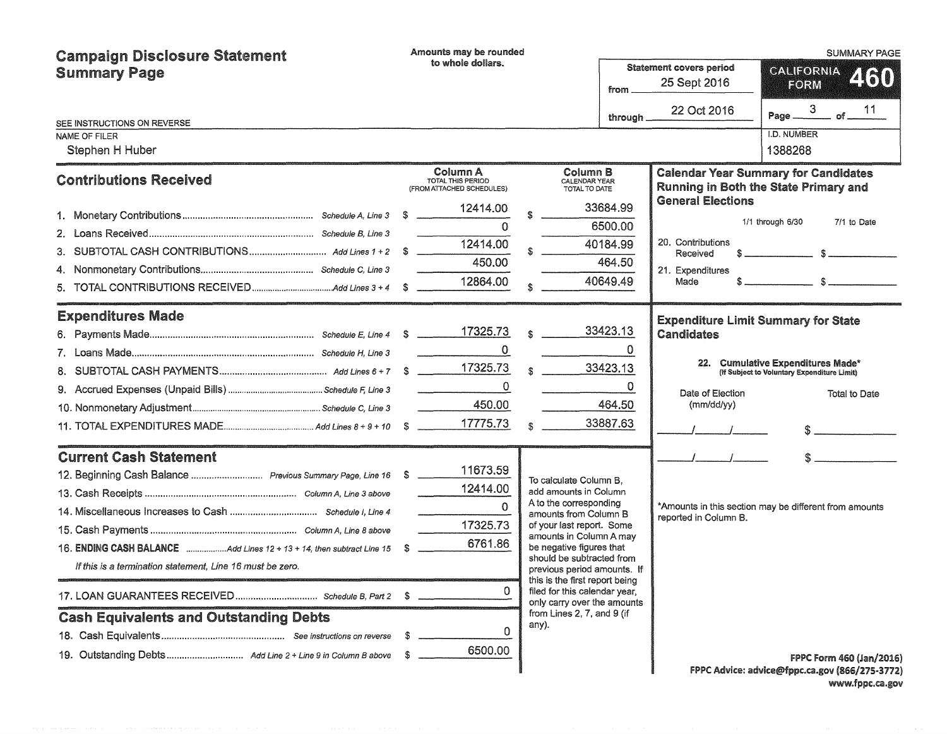| <b>Campaign Disclosure Statement</b>                                  |    | Amounts may be rounded                                                                                                                                                                                                                                                                                                                                                                                                                                                                                |              |                                                                                                |          |                                                | <b>SUMMARY PAGE</b>                                                                                                                                                                                                                                                                                                                                                           |
|-----------------------------------------------------------------------|----|-------------------------------------------------------------------------------------------------------------------------------------------------------------------------------------------------------------------------------------------------------------------------------------------------------------------------------------------------------------------------------------------------------------------------------------------------------------------------------------------------------|--------------|------------------------------------------------------------------------------------------------|----------|------------------------------------------------|-------------------------------------------------------------------------------------------------------------------------------------------------------------------------------------------------------------------------------------------------------------------------------------------------------------------------------------------------------------------------------|
| <b>Summary Page</b>                                                   |    | to whole dollars.<br>from.                                                                                                                                                                                                                                                                                                                                                                                                                                                                            |              |                                                                                                |          | <b>Statement covers period</b><br>25 Sept 2016 | <b>GALIFORNIA</b><br>460<br>FORM                                                                                                                                                                                                                                                                                                                                              |
| SEE INSTRUCTIONS ON REVERSE                                           |    |                                                                                                                                                                                                                                                                                                                                                                                                                                                                                                       |              |                                                                                                | through  | 22 Oct 2016                                    | 3 <sup>2</sup><br>11<br>$_{\rm{of}}$<br>Page                                                                                                                                                                                                                                                                                                                                  |
| <b>NAME OF FILER</b>                                                  |    |                                                                                                                                                                                                                                                                                                                                                                                                                                                                                                       |              |                                                                                                |          |                                                | I.D. NUMBER                                                                                                                                                                                                                                                                                                                                                                   |
| Stephen H Huber                                                       |    |                                                                                                                                                                                                                                                                                                                                                                                                                                                                                                       |              |                                                                                                |          |                                                | 1388268                                                                                                                                                                                                                                                                                                                                                                       |
| <b>Contributions Received</b>                                         |    | Column A<br>TOTAL THIS PERIOD<br>(FROM ATTACHED SCHEDULES)                                                                                                                                                                                                                                                                                                                                                                                                                                            |              | Column B<br>CALENDAR YEAR<br>TOTAL TO DATE                                                     |          |                                                | <b>Calendar Year Summary for Candidates</b><br>Running in Both the State Primary and                                                                                                                                                                                                                                                                                          |
|                                                                       |    | 12414.00                                                                                                                                                                                                                                                                                                                                                                                                                                                                                              |              |                                                                                                | 33684.99 | <b>General Elections</b>                       |                                                                                                                                                                                                                                                                                                                                                                               |
|                                                                       |    | $\Omega$                                                                                                                                                                                                                                                                                                                                                                                                                                                                                              |              |                                                                                                | 6500.00  |                                                | 1/1 through 6/30<br>7/1 to Date                                                                                                                                                                                                                                                                                                                                               |
|                                                                       |    | 12414.00                                                                                                                                                                                                                                                                                                                                                                                                                                                                                              |              |                                                                                                | 40184.99 | 20. Contributions<br>Received                  |                                                                                                                                                                                                                                                                                                                                                                               |
|                                                                       |    | 450.00                                                                                                                                                                                                                                                                                                                                                                                                                                                                                                |              |                                                                                                | 464.50   | 21. Expenditures                               |                                                                                                                                                                                                                                                                                                                                                                               |
| 5.                                                                    |    | 12864.00                                                                                                                                                                                                                                                                                                                                                                                                                                                                                              |              |                                                                                                | 40649.49 | Made                                           | $\hat{\mathbf{x}}$ and $\hat{\mathbf{x}}$ and $\hat{\mathbf{x}}$ and $\hat{\mathbf{x}}$ and $\hat{\mathbf{x}}$ and $\hat{\mathbf{x}}$ and $\hat{\mathbf{x}}$ and $\hat{\mathbf{x}}$ and $\hat{\mathbf{x}}$ and $\hat{\mathbf{x}}$ and $\hat{\mathbf{x}}$ and $\hat{\mathbf{x}}$ and $\hat{\mathbf{x}}$ and $\hat{\mathbf{x}}$ and $\hat{\mathbf{x}}$ and $\hat{\mathbf{x}}$ a |
| <b>Expenditures Made</b>                                              |    |                                                                                                                                                                                                                                                                                                                                                                                                                                                                                                       |              |                                                                                                |          |                                                | <b>Expenditure Limit Summary for State</b>                                                                                                                                                                                                                                                                                                                                    |
|                                                                       |    |                                                                                                                                                                                                                                                                                                                                                                                                                                                                                                       | $\mathbf{s}$ |                                                                                                | 33423.13 | Candidates                                     |                                                                                                                                                                                                                                                                                                                                                                               |
|                                                                       |    | 0                                                                                                                                                                                                                                                                                                                                                                                                                                                                                                     |              |                                                                                                | $\Omega$ |                                                |                                                                                                                                                                                                                                                                                                                                                                               |
|                                                                       |    |                                                                                                                                                                                                                                                                                                                                                                                                                                                                                                       |              | $\mathbb{S}$                                                                                   | 33423.13 |                                                | 22. Cumulative Expenditures Made*<br>(If Subject to Voluntary Expenditure Limit)                                                                                                                                                                                                                                                                                              |
|                                                                       |    | $\mathbf 0$<br>$\begin{array}{cccccccccccccc} \multicolumn{2}{c}{} & \multicolumn{2}{c}{} & \multicolumn{2}{c}{} & \multicolumn{2}{c}{} & \multicolumn{2}{c}{} & \multicolumn{2}{c}{} & \multicolumn{2}{c}{} & \multicolumn{2}{c}{} & \multicolumn{2}{c}{} & \multicolumn{2}{c}{} & \multicolumn{2}{c}{} & \multicolumn{2}{c}{} & \multicolumn{2}{c}{} & \multicolumn{2}{c}{} & \multicolumn{2}{c}{} & \multicolumn{2}{c}{} & \multicolumn{2}{c}{} & \multicolumn{2}{c}{} & \multicolumn{2}{c}{} & \$ |              |                                                                                                | $\Omega$ | Date of Election                               | Total to Date                                                                                                                                                                                                                                                                                                                                                                 |
|                                                                       |    | 450.00                                                                                                                                                                                                                                                                                                                                                                                                                                                                                                |              |                                                                                                | 464.50   | (mm/dd/yy)                                     |                                                                                                                                                                                                                                                                                                                                                                               |
|                                                                       |    | 17775.73                                                                                                                                                                                                                                                                                                                                                                                                                                                                                              | \$.          |                                                                                                | 33887.63 |                                                |                                                                                                                                                                                                                                                                                                                                                                               |
| <b>Current Cash Statement</b>                                         |    |                                                                                                                                                                                                                                                                                                                                                                                                                                                                                                       |              |                                                                                                |          |                                                |                                                                                                                                                                                                                                                                                                                                                                               |
|                                                                       |    | 11673.59                                                                                                                                                                                                                                                                                                                                                                                                                                                                                              |              | To calculate Column B.                                                                         |          |                                                |                                                                                                                                                                                                                                                                                                                                                                               |
|                                                                       |    | 12414.00                                                                                                                                                                                                                                                                                                                                                                                                                                                                                              |              | add amounts in Column                                                                          |          |                                                |                                                                                                                                                                                                                                                                                                                                                                               |
|                                                                       |    | $\Omega$                                                                                                                                                                                                                                                                                                                                                                                                                                                                                              |              | A to the corresponding<br>amounts from Column B                                                |          | reported in Column B.                          | *Amounts in this section may be different from amounts                                                                                                                                                                                                                                                                                                                        |
|                                                                       |    | 17325.73                                                                                                                                                                                                                                                                                                                                                                                                                                                                                              |              | of your last report. Some<br>amounts in Column A may                                           |          |                                                |                                                                                                                                                                                                                                                                                                                                                                               |
| 16. ENDING CASH BALANCE Add Lines 12 + 13 + 14, then subtract Line 15 | S  | 6761.86                                                                                                                                                                                                                                                                                                                                                                                                                                                                                               |              | be negative figures that                                                                       |          |                                                |                                                                                                                                                                                                                                                                                                                                                                               |
| If this is a termination statement, Line 16 must be zero.             |    |                                                                                                                                                                                                                                                                                                                                                                                                                                                                                                       |              | should be subtracted from<br>previous period amounts. If                                       |          |                                                |                                                                                                                                                                                                                                                                                                                                                                               |
|                                                                       |    | 0                                                                                                                                                                                                                                                                                                                                                                                                                                                                                                     |              | this is the first report being<br>filed for this calendar year,<br>only carry over the amounts |          |                                                |                                                                                                                                                                                                                                                                                                                                                                               |
| <b>Cash Equivalents and Outstanding Debts</b>                         |    |                                                                                                                                                                                                                                                                                                                                                                                                                                                                                                       |              | from Lines 2, 7, and 9 (if<br>any).                                                            |          |                                                |                                                                                                                                                                                                                                                                                                                                                                               |
|                                                                       | S  | 0                                                                                                                                                                                                                                                                                                                                                                                                                                                                                                     |              |                                                                                                |          |                                                |                                                                                                                                                                                                                                                                                                                                                                               |
|                                                                       | S. | 6500.00                                                                                                                                                                                                                                                                                                                                                                                                                                                                                               |              |                                                                                                |          |                                                | <b>FPPC Form 460 (Jan/2016)</b>                                                                                                                                                                                                                                                                                                                                               |
|                                                                       |    |                                                                                                                                                                                                                                                                                                                                                                                                                                                                                                       |              |                                                                                                |          |                                                | FPPC Advice: advice@fppc.ca.gov (866/275-3772)                                                                                                                                                                                                                                                                                                                                |

FPPC Ac:lvice: advice@fppc.ca.gov (866/275·3172) www.fppc.ca.gov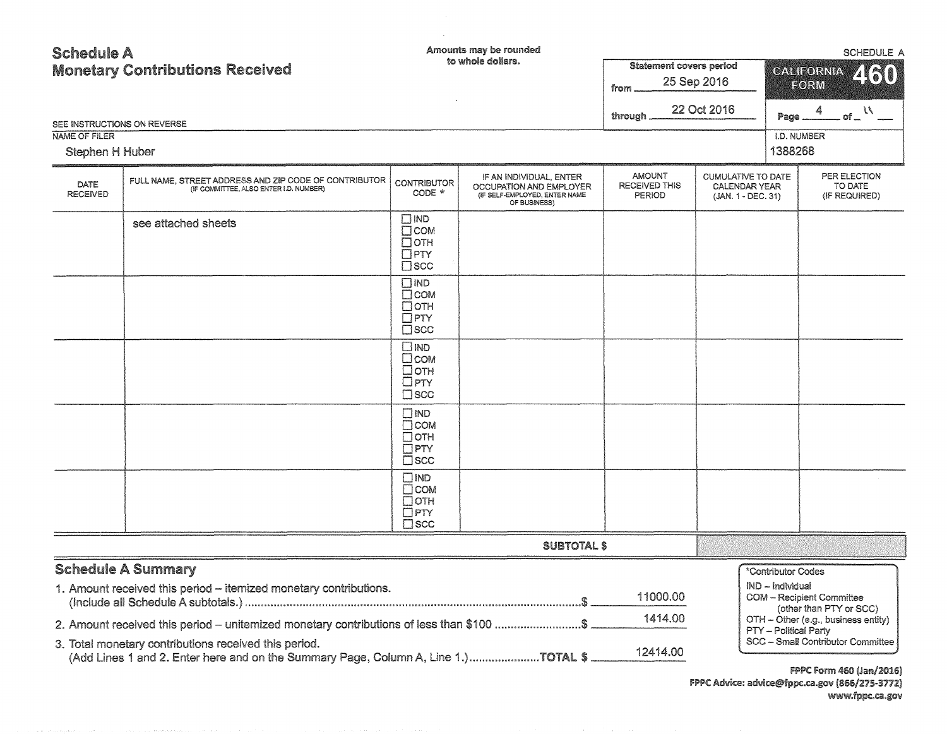| <b>Schedule A</b><br><b>Monetary Contributions Received</b><br>SEE INSTRUCTIONS ON REVERSE<br><b>NAME OF FILER</b> |                                                                                                                                                                                                                                         |                                                                                | Amounts may be rounded<br>to whole dollars.                                                         | <b>Statement covers period</b><br>from<br>through.     | 25 Sep 2016<br>22 Oct 2016                                              | Page                                   | <b>SCHEDULE A</b><br>CALIFORNIA<br>460<br>EORM<br>4<br>of $\frac{1}{\sqrt{2}}$<br>I.D. NUMBER      |  |
|--------------------------------------------------------------------------------------------------------------------|-----------------------------------------------------------------------------------------------------------------------------------------------------------------------------------------------------------------------------------------|--------------------------------------------------------------------------------|-----------------------------------------------------------------------------------------------------|--------------------------------------------------------|-------------------------------------------------------------------------|----------------------------------------|----------------------------------------------------------------------------------------------------|--|
| Stephen H Huber                                                                                                    |                                                                                                                                                                                                                                         |                                                                                |                                                                                                     |                                                        |                                                                         | 1388268                                |                                                                                                    |  |
| DATE<br><b>RECEIVED</b>                                                                                            | FULL NAME, STREET ADDRESS AND ZIP CODE OF CONTRIBUTOR<br>(IF COMMITTEE, ALSO ENTER I.D. NUMBER)                                                                                                                                         | <b>CONTRIBUTOR</b><br>CODE *                                                   | IF AN INDIVIDUAL, ENTER<br>OCCUPATION AND EMPLOYER<br>(IF SELF-EMPLOYED, ENTER NAME<br>OF BUSINESS) | <b>AMOUNT</b><br><b>RECEIVED THIS</b><br><b>PERIOD</b> | <b>CUMULATIVE TO DATE</b><br><b>CALENDAR YEAR</b><br>(JAN. 1 - DEC. 31) |                                        | PER ELECTION<br>TO DATE<br>(IF REQUIRED)                                                           |  |
|                                                                                                                    | see attached sheets                                                                                                                                                                                                                     | $\square$ IND<br>$\Box$ COM<br>$\Box$ OTH<br>$\Box$ PTY<br>$\square$ SCC       |                                                                                                     |                                                        |                                                                         |                                        |                                                                                                    |  |
|                                                                                                                    |                                                                                                                                                                                                                                         | $\square$ IND<br>$\Box$ COM<br>$\Box$ OTH<br>$\Box$ PTY<br>$\square$ SCC       |                                                                                                     |                                                        |                                                                         |                                        |                                                                                                    |  |
|                                                                                                                    |                                                                                                                                                                                                                                         | $\square$ IND<br>$\square$ COM<br>$\Box$ OTH<br>$\square$ PTY<br>$\square$ scc |                                                                                                     |                                                        |                                                                         |                                        |                                                                                                    |  |
|                                                                                                                    |                                                                                                                                                                                                                                         | $\Box$ IND<br>$\Box$ COM<br>$\Box$ OTH<br>$\Box$ PTY<br>$\square$ scc          |                                                                                                     |                                                        |                                                                         |                                        |                                                                                                    |  |
|                                                                                                                    |                                                                                                                                                                                                                                         | $\square$ IND<br>$\Box$ COM<br>$\Box$ OTH<br>$\Box$ PTY<br>$\square$ scc       |                                                                                                     |                                                        |                                                                         |                                        |                                                                                                    |  |
|                                                                                                                    |                                                                                                                                                                                                                                         |                                                                                | <b>SUBTOTAL \$</b>                                                                                  |                                                        |                                                                         |                                        |                                                                                                    |  |
|                                                                                                                    | <b>Schedule A Summary</b><br>1. Amount received this period - itemized monetary contributions.                                                                                                                                          |                                                                                |                                                                                                     | 11000.00<br>1414.00                                    |                                                                         | *Contributor Codes<br>IND - Individual | <b>COM - Recipient Committee</b><br>(other than PTY or SCC)<br>OTH - Other (e.g., business entity) |  |
|                                                                                                                    | 2. Amount received this period - unitemized monetary contributions of less than \$100 \$<br>3. Total monetary contributions received this period.<br>(Add Lines 1 and 2. Enter here and on the Summary Page, Column A, Line 1.)TOTAL \$ |                                                                                |                                                                                                     | 12414.00                                               |                                                                         | PTY - Political Party                  | SCC - Small Contributor Committee<br>FORTOM FULLER SPORTS  IMMORPH                                 |  |

 $\label{eq:2.1} \frac{1}{\sqrt{2}}\int_{\mathbb{R}^3}\frac{1}{\sqrt{2}}\left(\frac{1}{\sqrt{2}}\right)^2\frac{1}{\sqrt{2}}\left(\frac{1}{\sqrt{2}}\right)^2\frac{1}{\sqrt{2}}\left(\frac{1}{\sqrt{2}}\right)^2\frac{1}{\sqrt{2}}\left(\frac{1}{\sqrt{2}}\right)^2\frac{1}{\sqrt{2}}\left(\frac{1}{\sqrt{2}}\right)^2\frac{1}{\sqrt{2}}\frac{1}{\sqrt{2}}\frac{1}{\sqrt{2}}\frac{1}{\sqrt{2}}\frac{1}{\sqrt{2}}\frac{1}{\sqrt{2}}$ 

FPPC Form 460 (Jan/2016) FPPC Advice: advice@fppc.ca.gov (866/275-3772)<br>www.fppc.ca.gov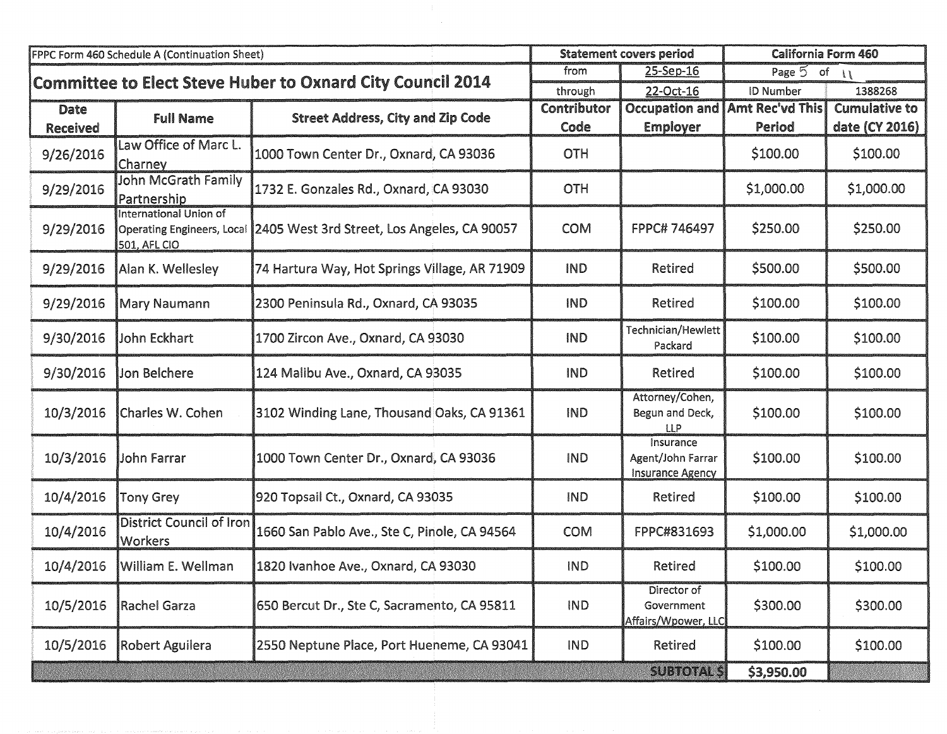|                 | FPPC Form 460 Schedule A (Continuation Sheet)                                      |                                                            | <b>Statement covers period</b> |                                                           | <b>California Form 460</b>              |                      |
|-----------------|------------------------------------------------------------------------------------|------------------------------------------------------------|--------------------------------|-----------------------------------------------------------|-----------------------------------------|----------------------|
|                 |                                                                                    | Committee to Elect Steve Huber to Oxnard City Council 2014 | from                           | 25-Sep-16                                                 | Page $5$ of $11$                        |                      |
|                 |                                                                                    |                                                            | through                        | 22-Oct-16                                                 | <b>ID Number</b>                        | 1388268              |
| Date            | <b>Full Name</b>                                                                   | <b>Street Address, City and Zip Code</b>                   | Contributor                    |                                                           | <b>Occupation and   Amt Rec'vd This</b> | <b>Cumulative to</b> |
| <b>Received</b> |                                                                                    |                                                            | Code                           | <b>Employer</b>                                           | Period                                  | date (CY 2016)       |
| 9/26/2016       | Law Office of Marc L.<br>Charney                                                   | 1000 Town Center Dr., Oxnard, CA 93036                     | <b>OTH</b>                     |                                                           | \$100.00                                | \$100.00             |
| 9/29/2016       | John McGrath Family<br>Partnership                                                 | 1732 E. Gonzales Rd., Oxnard, CA 93030                     | OTH                            |                                                           | \$1,000.00                              | \$1,000.00           |
| 9/29/2016       | International Union of<br><b>Operating Engineers, Local</b><br><b>501, AFL CIO</b> | 2405 West 3rd Street, Los Angeles, CA 90057                | <b>COM</b>                     | FPPC# 746497                                              | \$250.00                                | \$250.00             |
| 9/29/2016       | Alan K. Wellesley                                                                  | 74 Hartura Way, Hot Springs Village, AR 71909              | <b>IND</b>                     | <b>Retired</b>                                            | \$500.00                                | \$500.00             |
| 9/29/2016       | Mary Naumann                                                                       | 2300 Peninsula Rd., Oxnard, CA 93035                       | <b>IND</b>                     | Retired                                                   | \$100.00                                | \$100.00             |
| 9/30/2016       | John Eckhart                                                                       | 1700 Zircon Ave., Oxnard, CA 93030                         | <b>IND</b>                     | Technician/Hewlett<br>Packard                             | \$100.00                                | \$100.00             |
| 9/30/2016       | <b>Jon Belchere</b>                                                                | 124 Malibu Ave., Oxnard, CA 93035                          | <b>IND</b>                     | Retired                                                   | \$100.00                                | \$100.00             |
| 10/3/2016       | Charles W. Cohen                                                                   | 3102 Winding Lane, Thousand Oaks, CA 91361                 | <b>IND</b>                     | Attorney/Cohen,<br>Begun and Deck,<br>LLP                 | \$100.00                                | \$100.00             |
| 10/3/2016       | John Farrar                                                                        | 1000 Town Center Dr., Oxnard, CA 93036                     | <b>IND</b>                     | Insurance<br>Agent/John Farrar<br><b>Insurance Agency</b> | \$100.00                                | \$100.00             |
| 10/4/2016       | <b>Tony Grey</b>                                                                   | 920 Topsail Ct., Oxnard, CA 93035                          | <b>IND</b>                     | Retired                                                   | \$100.00                                | \$100.00             |
| 10/4/2016       | <b>District Council of Iron</b><br><b>Workers</b>                                  | 1660 San Pablo Ave., Ste C, Pinole, CA 94564               | <b>COM</b>                     | FPPC#831693                                               | \$1,000.00                              | \$1,000.00           |
| 10/4/2016       | <b> William E. Wellman</b>                                                         | 1820 Ivanhoe Ave., Oxnard, CA 93030                        | <b>IND</b>                     | Retired                                                   | \$100.00                                | \$100.00             |
| 10/5/2016       | <b>Rachel Garza</b>                                                                | 650 Bercut Dr., Ste C, Sacramento, CA 95811                | <b>IND</b>                     | Director of<br>Government<br>Affairs/Wpower, LLC          | \$300.00                                | \$300.00             |
| 10/5/2016       | Robert Aguilera                                                                    | 2550 Neptune Place, Port Hueneme, CA 93041                 | <b>IND</b>                     | Retired                                                   | \$100.00                                | \$100.00             |
|                 |                                                                                    |                                                            |                                | <b>SUBTOTAL \$</b>                                        | \$3,950.00                              |                      |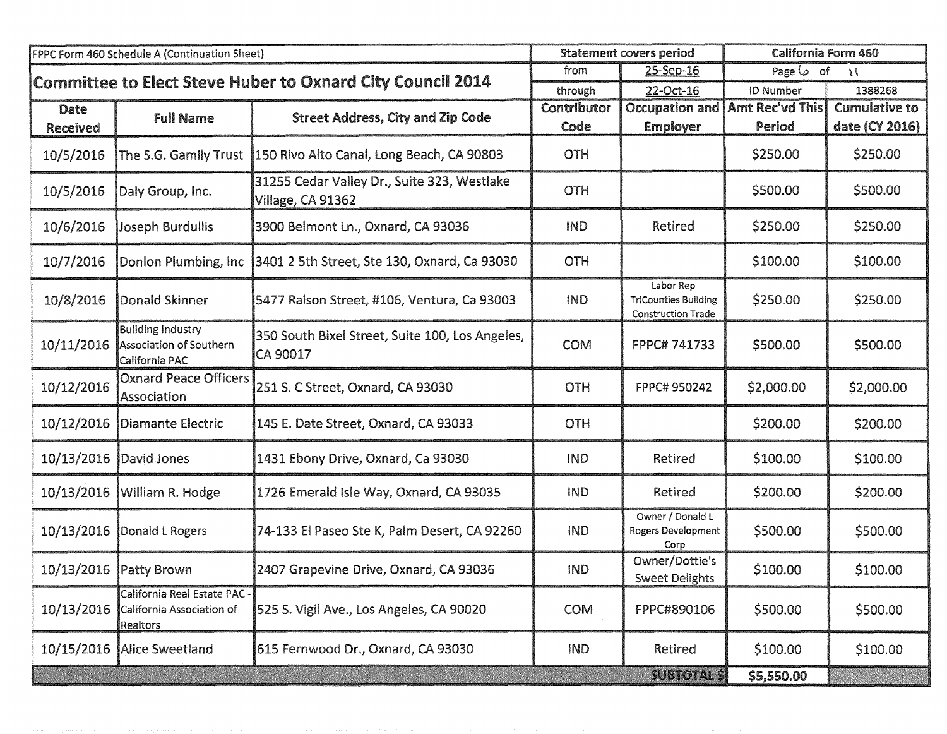|                 | FPPC Form 460 Schedule A (Continuation Sheet)                                |                                                                  |             | <b>Statement covers period</b>                                        |                   | California Form 460  |
|-----------------|------------------------------------------------------------------------------|------------------------------------------------------------------|-------------|-----------------------------------------------------------------------|-------------------|----------------------|
|                 |                                                                              | Committee to Elect Steve Huber to Oxnard City Council 2014       | from        | 25-Sep-16                                                             | Page $\varphi$ of | $\mathcal{L}$        |
|                 |                                                                              |                                                                  | through     | 22-Oct-16                                                             | <b>ID Number</b>  | 1388268              |
| <b>Date</b>     | <b>Full Name</b>                                                             | <b>Street Address, City and Zip Code</b>                         | Contributor | <b>Occupation and</b>                                                 | Amt Rec'vd This   | <b>Cumulative to</b> |
| <b>Received</b> |                                                                              |                                                                  | Code        | <b>Employer</b>                                                       | Period            | date (CY 2016)       |
| 10/5/2016       | The S.G. Gamily Trust                                                        | 150 Rivo Alto Canal, Long Beach, CA 90803                        | <b>OTH</b>  |                                                                       | \$250.00          | \$250.00             |
| 10/5/2016       | Daly Group, Inc.                                                             | 31255 Cedar Valley Dr., Suite 323, Westlake<br>Village, CA 91362 | <b>OTH</b>  |                                                                       | \$500.00          | \$500.00             |
| 10/6/2016       | Joseph Burdullis                                                             | 3900 Belmont Ln., Oxnard, CA 93036                               | <b>IND</b>  | <b>Retired</b>                                                        | \$250.00          | \$250.00             |
| 10/7/2016       | Donlon Plumbing, Inc                                                         | 3401 2 5th Street, Ste 130, Oxnard, Ca 93030                     | <b>OTH</b>  |                                                                       | \$100.00          | \$100.00             |
| 10/8/2016       | Donald Skinner                                                               | 5477 Ralson Street, #106, Ventura, Ca 93003                      | <b>IND</b>  | Labor Rep<br><b>TriCounties Building</b><br><b>Construction Trade</b> | \$250.00          | \$250.00             |
| 10/11/2016      | <b>Building Industry</b><br><b>Association of Southern</b><br>California PAC | 350 South Bixel Street, Suite 100, Los Angeles,<br>CA 90017      | <b>COM</b>  | FPPC#741733                                                           | \$500.00          | \$500.00             |
| 10/12/2016      | <b>Oxnard Peace Officers</b><br>Association                                  | 251 S. C Street, Oxnard, CA 93030                                | OTH         | FPPC# 950242                                                          | \$2,000.00        | \$2,000.00           |
| 10/12/2016      | Diamante Electric                                                            | 145 E. Date Street, Oxnard, CA 93033                             | <b>OTH</b>  |                                                                       | \$200.00          | \$200.00             |
| 10/13/2016      | David Jones                                                                  | 1431 Ebony Drive, Oxnard, Ca 93030                               | <b>IND</b>  | Retired                                                               | \$100.00          | \$100.00             |
| 10/13/2016      | William R. Hodge                                                             | 1726 Emerald Isle Way, Oxnard, CA 93035                          | IND         | Retired                                                               | \$200.00          | \$200.00             |
| 10/13/2016      | Donald L Rogers                                                              | 74-133 El Paseo Ste K, Palm Desert, CA 92260                     | <b>IND</b>  | Owner / Donald L<br><b>Rogers Development</b><br>Corp                 | \$500.00          | \$500.00             |
|                 | 10/13/2016 Patty Brown                                                       | 2407 Grapevine Drive, Oxnard, CA 93036                           | <b>IND</b>  | Owner/Dottie's<br><b>Sweet Delights</b>                               | \$100.00          | \$100.00             |
| 10/13/2016      | California Real Estate PAC -<br>California Association of<br>Realtors        | 525 S. Vigil Ave., Los Angeles, CA 90020                         | <b>COM</b>  | FPPC#890106                                                           | \$500.00          | \$500.00             |
| 10/15/2016      | Alice Sweetland                                                              | 615 Fernwood Dr., Oxnard, CA 93030                               | <b>IND</b>  | Retired                                                               | \$100.00          | \$100.00             |
|                 |                                                                              |                                                                  |             | <b>SUBTOTAL \$</b>                                                    | \$5,550.00        |                      |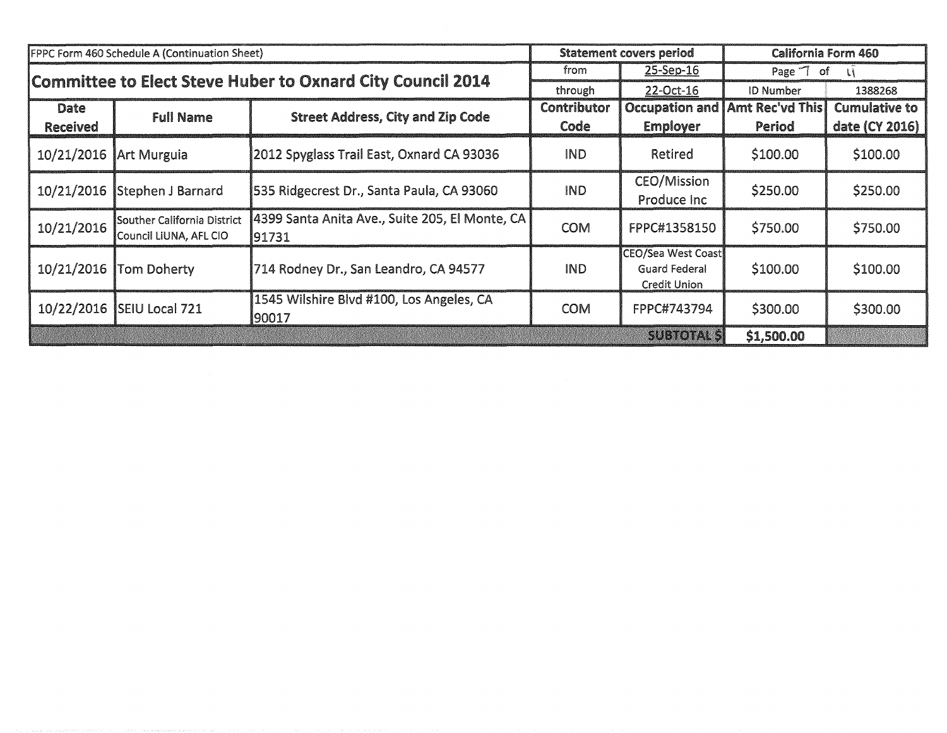|                 | FPPC Form 460 Schedule A (Continuation Sheet)         |                                                            |             | <b>Statement covers period</b>                                    | <b>California Form 460</b>            |                      |
|-----------------|-------------------------------------------------------|------------------------------------------------------------|-------------|-------------------------------------------------------------------|---------------------------------------|----------------------|
|                 |                                                       | Committee to Elect Steve Huber to Oxnard City Council 2014 | from        | 25-Sep-16                                                         | Page 7 of                             | u                    |
|                 |                                                       |                                                            | through     | 22-Oct-16                                                         | <b>ID Number</b>                      | 1388268              |
| Date            | <b>Full Name</b>                                      | <b>Street Address, City and Zip Code</b>                   | Contributor |                                                                   | <b>Occupation and Amt Rec'vd This</b> | <b>Cumulative to</b> |
| <b>Received</b> |                                                       |                                                            | Code        | <b>Employer</b>                                                   | Period                                | date (CY 2016)       |
| 10/21/2016      | Art Murguia                                           | 2012 Spyglass Trail East, Oxnard CA 93036                  | <b>IND</b>  | Retired                                                           | \$100.00                              | \$100.00             |
| 10/21/2016      | Stephen J Barnard                                     | 535 Ridgecrest Dr., Santa Paula, CA 93060                  | <b>IND</b>  | <b>CEO/Mission</b><br>Produce Inc                                 | \$250.00                              | \$250.00             |
| 10/21/2016      | Souther California District<br>Council LiUNA, AFL CIO | 4399 Santa Anita Ave., Suite 205, El Monte, CA<br>91731    | <b>COM</b>  | FPPC#1358150                                                      | \$750.00                              | \$750.00             |
| 10/21/2016      | <b>Tom Doherty</b>                                    | 714 Rodney Dr., San Leandro, CA 94577                      | <b>IND</b>  | CEO/Sea West Coast<br><b>Guard Federal</b><br><b>Credit Union</b> | \$100.00                              | \$100.00             |
| 10/22/2016      | <b>SEIU Local 721</b>                                 | 1545 Wilshire Blvd #100, Los Angeles, CA<br>190017         | <b>COM</b>  | FPPC#743794                                                       | \$300.00                              | \$300.00             |
|                 |                                                       |                                                            |             | <b>SUBTOTAL SI</b>                                                | \$1,500.00                            |                      |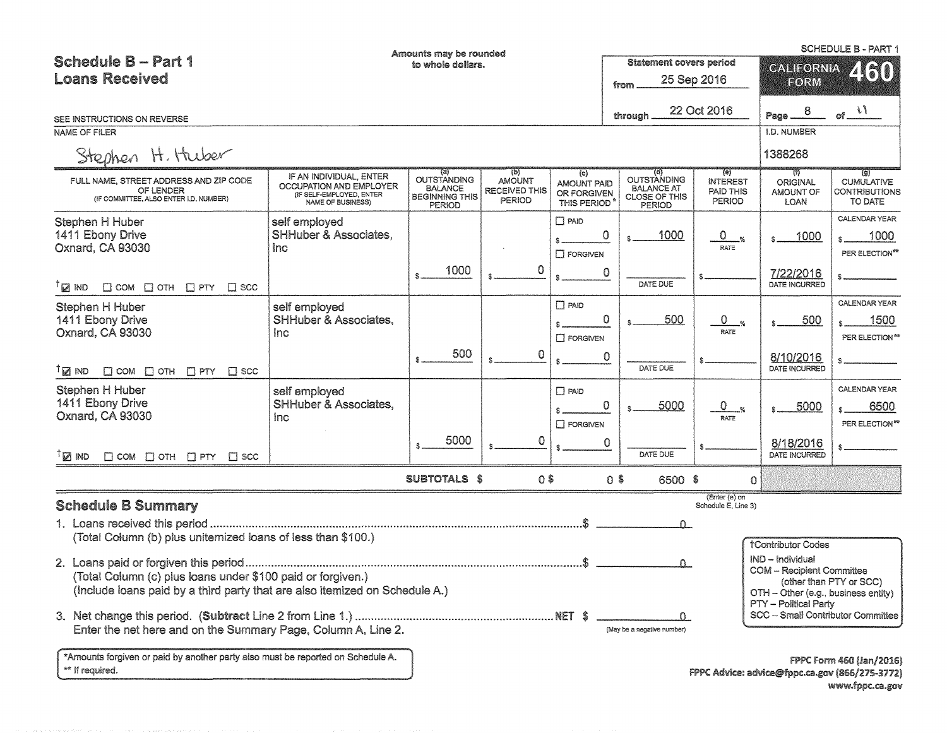| <b>Schedule B - Part 1</b><br><b>Loans Received</b>                                                                                                                                                                                                                                                                                    |                                                                                                     | Amounts may be rounded<br>to whole dollars.                                           |                                                        |                                                                       | <b>Statement covers period</b><br>from                             | 25 Sep 2016                                          | FORM                                             | <b>SCHEDULE B - PART 1</b><br>CALIFORNIA 4 (51)             |
|----------------------------------------------------------------------------------------------------------------------------------------------------------------------------------------------------------------------------------------------------------------------------------------------------------------------------------------|-----------------------------------------------------------------------------------------------------|---------------------------------------------------------------------------------------|--------------------------------------------------------|-----------------------------------------------------------------------|--------------------------------------------------------------------|------------------------------------------------------|--------------------------------------------------|-------------------------------------------------------------|
| SEE INSTRUCTIONS ON REVERSE                                                                                                                                                                                                                                                                                                            |                                                                                                     |                                                                                       |                                                        |                                                                       | through                                                            | 22 Oct 2016                                          | Page $ 8$                                        | of $\frac{l}{l}$                                            |
| NAME OF FILER                                                                                                                                                                                                                                                                                                                          |                                                                                                     |                                                                                       |                                                        |                                                                       |                                                                    |                                                      | <b>I.D. NUMBER</b>                               |                                                             |
| Stephen H. Huber                                                                                                                                                                                                                                                                                                                       |                                                                                                     |                                                                                       |                                                        |                                                                       |                                                                    |                                                      | 1388268                                          |                                                             |
| FULL NAME, STREET ADDRESS AND ZIP CODE<br>OF LENDER<br>(IF COMMITTEE, ALSO ENTER I.D. NUMBER)                                                                                                                                                                                                                                          | IF AN INDIVIDUAL, ENTER<br>OCCUPATION AND EMPLOYER<br>(IF SELF-EMPLOYED, ENTER<br>NAME OF BUSINESS) | (a)<br><b>OUTSTANDING</b><br><b>BALANCE</b><br><b>BEGINNING THIS</b><br><b>PERIOD</b> | (b)<br><b>AMOUNT</b><br><b>RECEIVED THIS</b><br>PERIOD | $\left( c\right)$<br><b>AMOUNT PAID</b><br>OR FORGIVEN<br>THIS PERIOD | OUTSTANDING<br><b>BALANCE AT</b><br><b>CLOSE OF THIS</b><br>PERIOD | (e)<br><b>INTEREST</b><br>PAID THIS<br><b>PERIOD</b> | W<br><b>ORIGINAL</b><br><b>AMOUNT OF</b><br>LOAN | (g)<br><b>CUMULATIVE</b><br><b>CONTRIBUTIONS</b><br>TO DATE |
| Stephen H Huber<br>1411 Ebony Drive<br>Oxnard, CA 93030                                                                                                                                                                                                                                                                                | self employed<br><b>SHHuber &amp; Associates,</b><br>inc.                                           |                                                                                       |                                                        | $\Box$ PAID<br>\$.<br>$\square$ FORGIVEN                              | 0<br>1000                                                          | $\mathbf 0$<br>$-\frac{9}{6}$<br>RATE                | 1000                                             | CALENDAR YEAR<br>1000<br>PER ELECTION**                     |
| $\mathbb{Z}$ ind<br>$\Box$ COM $\Box$ OTH $\Box$ PTY $\Box$ SCC                                                                                                                                                                                                                                                                        |                                                                                                     | 1000                                                                                  |                                                        |                                                                       | 0<br>DATE DUE                                                      |                                                      | 7/22/2016<br>DATE INCURRED                       |                                                             |
| Stephen H Huber<br>1411 Ebony Drive<br>Oxnard, CA 93030                                                                                                                                                                                                                                                                                | self employed<br><b>SHHuber &amp; Associates,</b><br>Inc.                                           | 500                                                                                   |                                                        | $\Box$ PAID<br>$\Box$ FORGIVEN                                        | $\circ$<br>500                                                     | $\circ$<br>$\frac{q}{q}$<br>RATE                     | 500                                              | CALENDAR YEAR<br>1500<br>PER ELECTION**                     |
| ™ ⊠ ⊺<br>$\Box$ COM $\Box$ OTH $\Box$ PTY $\Box$ SCC                                                                                                                                                                                                                                                                                   |                                                                                                     |                                                                                       | 0                                                      |                                                                       | 0<br>DATE DUE                                                      |                                                      | 8/10/2016<br>DATE INCURRED                       |                                                             |
| Stephen H Huber<br>1411 Ebony Drive<br>Oxnard, CA 93030                                                                                                                                                                                                                                                                                | self employed<br><b>SHHuber &amp; Associates,</b><br><b>Inc</b>                                     |                                                                                       |                                                        | $\Box$ PAID<br>$\square$ FORGIVEN                                     | $\circ$<br>5000                                                    | 0.<br>$\frac{1}{2}$<br>RATE                          | 5000                                             | CALENDAR YEAR<br>6500<br>PER ELECTION <sup>#*</sup>         |
| <sup>⊺</sup> ⊠ ™D<br>$\Box$ COM $\Box$ OTH $\Box$ PTY $\Box$ SCC                                                                                                                                                                                                                                                                       |                                                                                                     | 5000                                                                                  | 0                                                      |                                                                       | 0<br>DATE DUE                                                      |                                                      | 8/18/2016<br>DATE INCURRED                       |                                                             |
|                                                                                                                                                                                                                                                                                                                                        |                                                                                                     | <b>SUBTOTALS \$</b>                                                                   | $0$ \$                                                 |                                                                       | $0$ \$<br>6500 \$                                                  |                                                      | $\Omega$                                         |                                                             |
| <b>Schedule B Summary</b>                                                                                                                                                                                                                                                                                                              |                                                                                                     |                                                                                       |                                                        |                                                                       |                                                                    | (Enter (e) on<br>Schedule E, Line 3)                 |                                                  |                                                             |
| (Total Column (b) plus unitemized loans of less than \$100.)                                                                                                                                                                                                                                                                           |                                                                                                     |                                                                                       |                                                        |                                                                       |                                                                    | $\Omega$                                             |                                                  |                                                             |
| <b>†Contributor Codes</b><br>IND - Individual<br>$\Omega$<br><b>COM - Recipient Committee</b><br>(Total Column (c) plus loans under \$100 paid or forgiven.)<br>(other than PTY or SCC)<br>(Include loans paid by a third party that are also itemized on Schedule A.)<br>OTH - Other (e.g., business entity)<br>PTY - Political Party |                                                                                                     |                                                                                       |                                                        |                                                                       |                                                                    |                                                      |                                                  |                                                             |
| Enter the net here and on the Summary Page, Column A, Line 2.                                                                                                                                                                                                                                                                          |                                                                                                     |                                                                                       |                                                        |                                                                       | (May be a negative number)                                         | $\Omega$                                             | SCC - Small Contributor Committee                |                                                             |
| *Amounts forgiven or paid by another party also must be reported on Schedule A.<br>** If required.                                                                                                                                                                                                                                     |                                                                                                     |                                                                                       |                                                        |                                                                       |                                                                    |                                                      | FPPC Advice: advice@fppc.ca.gov (866/275-3772)   | FPPC Form 460 (Jan/2016)                                    |

www.fppc.ca.gov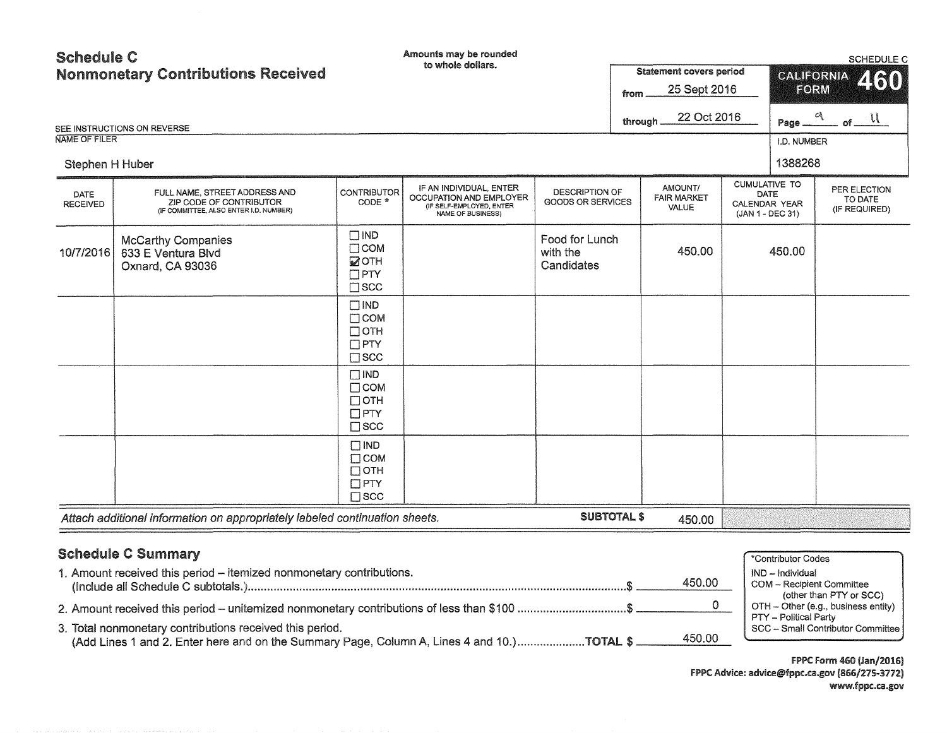| <b>Schedule C</b>                         |                                                                                                    |                                                                           | Amounts may be rounded                                                                              |                                            |                                               |              |                                                                   | SCHEDULE C                               |
|-------------------------------------------|----------------------------------------------------------------------------------------------------|---------------------------------------------------------------------------|-----------------------------------------------------------------------------------------------------|--------------------------------------------|-----------------------------------------------|--------------|-------------------------------------------------------------------|------------------------------------------|
| <b>Nonmonetary Contributions Received</b> |                                                                                                    |                                                                           | to whole dollars.                                                                                   |                                            | <b>Statement covers period</b>                |              | <b>CALIFORNIA</b>                                                 | 460                                      |
|                                           |                                                                                                    |                                                                           |                                                                                                     |                                            | from                                          | 25 Sept 2016 | FORM                                                              |                                          |
|                                           |                                                                                                    |                                                                           |                                                                                                     |                                            | through                                       | 22 Oct 2016  |                                                                   | Page $\frac{q}{q}$ of $\frac{1}{q}$      |
| NAME OF FILER                             | SEE INSTRUCTIONS ON REVERSE                                                                        |                                                                           |                                                                                                     |                                            |                                               |              | I.D. NUMBER                                                       |                                          |
| Stephen H Huber                           |                                                                                                    |                                                                           |                                                                                                     |                                            |                                               |              | 1388268                                                           |                                          |
| DATE<br><b>RECEIVED</b>                   | FULL NAME, STREET ADDRESS AND<br>ZIP CODE OF CONTRIBUTOR<br>(IF COMMITTEE, ALSO ENTER I.D. NUMBER) | <b>CONTRIBUTOR</b><br>CODE *                                              | IF AN INDIVIDUAL, ENTER<br>OCCUPATION AND EMPLOYER<br>(IF SELF-EMPLOYED, ENTER<br>NAME OF BUSINESS) | <b>DESCRIPTION OF</b><br>GOODS OR SERVICES | AMOUNT/<br><b>FAIR MARKET</b><br><b>VALUE</b> |              | <b>CUMULATIVE TO</b><br>DATE<br>CALENDAR YEAR<br>(JAN 1 - DEC 31) | PER ELECTION<br>TO DATE<br>(IF REQUIRED) |
| 10/7/2016                                 | <b>McCarthy Companies</b><br>633 E Ventura Blvd<br>Oxnard, CA 93036                                | $\square$ IND<br>$\Box$ COM<br><b>MOTH</b><br>$\Box$ PTY<br>$\square$ scc |                                                                                                     | Food for Lunch<br>with the<br>Candidates   | 450.00                                        |              | 450.00                                                            |                                          |
|                                           |                                                                                                    | $\Box$ IND<br>$\Box$ COM<br>$\Box$ OTH<br>$\Box$ PTY<br>$\square$ scc     |                                                                                                     |                                            |                                               |              |                                                                   |                                          |
|                                           |                                                                                                    | $\Box$ IND<br>$\Box$ COM<br>$\Box$ OTH<br>$\Box$ PTY<br>$\square$ SCC     |                                                                                                     |                                            |                                               |              |                                                                   |                                          |
|                                           |                                                                                                    | $\Box$ IND<br>$\Box$ COM<br>$\Box$ OTH<br>$\Box$ PTY<br>$\square$ scc     |                                                                                                     |                                            |                                               |              |                                                                   |                                          |
|                                           | Attach additional information on appropriately labeled continuation sheets.                        |                                                                           |                                                                                                     | <b>SUBTOTAL \$</b>                         | 450.00                                        |              |                                                                   |                                          |
|                                           | <b>Schedule C Summary</b>                                                                          |                                                                           |                                                                                                     |                                            |                                               |              | *Contributor Codes                                                |                                          |

| <b><i>ODIIGARG O OBIIIGIY</i></b>                                                           | *Contributor Codes                                                                      |
|---------------------------------------------------------------------------------------------|-----------------------------------------------------------------------------------------|
| 1. Amount received this period - itemized nonmonetary contributions.<br>450.00              | IND - Individual<br><b>COM</b> - Recipient Committee                                    |
| 2. Amount received this period – unitemized nonmonetary contributions of less than \$100 \$ | (other than PTY or SCC)<br>OTH - Other (e.g., business entity)<br>PTY - Political Party |
| 3. Total nonmonetary contributions received this period.<br>450.00                          | SCC - Small Contributor Committee                                                       |

FPPC Form 460 (Jan/2016) FPPC Advice: advice@fppc.ca.gov (866/275-3772) www.fppc.ca.gov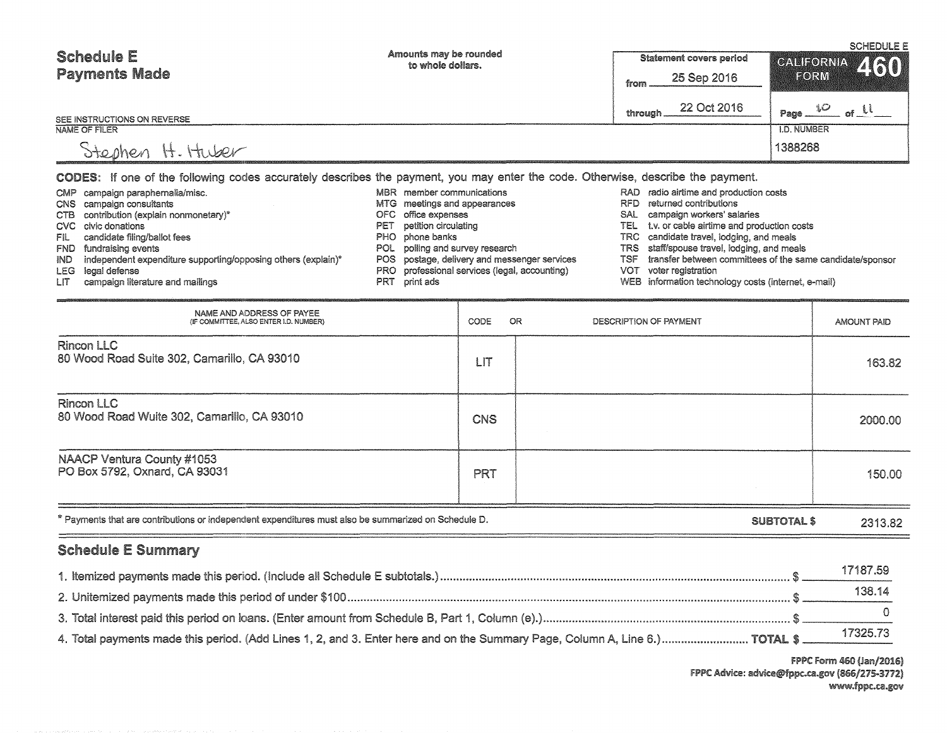| <b>Schedule E</b><br><b>Payments Made</b> | Amounts may be rounded<br>to whole dollars. | <b>Statement covers period</b><br>25 Sep 2016<br>from | <b>SCHEDULE E</b><br>CALIFORNIA 460<br>FORM |  |
|-------------------------------------------|---------------------------------------------|-------------------------------------------------------|---------------------------------------------|--|
| SEE INSTRUCTIONS ON REVERSE               |                                             | 22 Oct 2016<br>through                                | سكرا<br>Page<br>ഷി                          |  |
| NAME OF FILER                             |                                             |                                                       | <b>I.D. NUMBER</b>                          |  |
| H. Huber<br><i>Otephen</i>                |                                             |                                                       | 1388268                                     |  |

cODES: If one of the following codes accurately describes the payment, you may enter the code. Otherwise, describe the payment.

|      | CMP campaign paraphernalia/misc.                                  |     | MBR member communications                     |      | RAD radio airtime and production costs                    |
|------|-------------------------------------------------------------------|-----|-----------------------------------------------|------|-----------------------------------------------------------|
|      | CNS campaign consultants                                          |     | MTG meetings and appearances                  | RFD. | returned contributions                                    |
|      | CTB contribution (explain nonmonetary)*                           |     | OFC office expenses                           | SAL  | campaign workers' salaries                                |
|      | CVC civic donations                                               | PET | petition circulating                          | TEL  | t.v. or cable airtime and production costs                |
| FILI | candidate filing/ballot fees                                      |     | PHO phone banks                               |      | TRC candidate travel, lodging, and meals                  |
|      | FND fundraising events                                            |     | POL polling and survey research               |      | TRS staff/spouse travel, lodging, and meals               |
|      | IND independent expenditure supporting/opposing others (explain)* |     | POS postage, delivery and messenger services  | TSF  | transfer between committees of the same candidate/sponsor |
|      | LEG legal defense                                                 |     | PRO professional services (legal, accounting) | VOT  | voter registration                                        |
| LIT  | campaign literature and mailings                                  |     | PRT print ads                                 |      | WEB information technology costs (internet, e-mail)       |

| NAME AND ADDRESS OF PAYEE<br>(IF COMMITTEE, ALSO ENTER I.D. NUMBER)                                                        | CODE       | OR<br>DESCRIPTION OF PAYMENT | AMOUNT PAID |
|----------------------------------------------------------------------------------------------------------------------------|------------|------------------------------|-------------|
| Rincon LLC<br>80 Wood Road Suite 302, Camarillo, CA 93010                                                                  | LIT        |                              | 163.82      |
| Rincon LLC<br>80 Wood Road Wuite 302, Camarillo, CA 93010                                                                  | <b>CNS</b> |                              | 2000.00     |
| NAACP Ventura County #1053<br>PO Box 5792, Oxnard, CA 93031                                                                | <b>PRT</b> |                              | 150.00      |
| * Payments that are contributions or independent expenditures must also be summarized on Schedule D.<br><b>SUBTOTAL \$</b> |            |                              | 2313.82     |

# Schedule E Summary

|                                                                                                                             | 17187.59 |
|-----------------------------------------------------------------------------------------------------------------------------|----------|
|                                                                                                                             | 138.14   |
|                                                                                                                             |          |
| 4. Total payments made this period. (Add Lines 1, 2, and 3. Enter here and on the Summary Page, Column A, Line 6.) TOTAL \$ | 17325.73 |